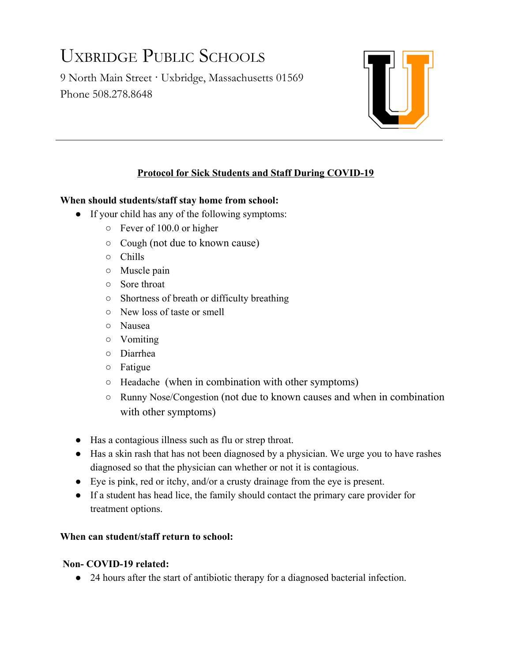# UXBRIDGE PUBLIC SCHOOLS

9 North Main Street · Uxbridge, Massachusetts 01569 Phone 508.278.8648



## **Protocol for Sick Students and Staff During COVID-19**

### **When should students/staff stay home from school:**

- If your child has any of the following symptoms:
	- Fever of 100.0 or higher
	- Cough (not due to known cause)
	- Chills
	- Muscle pain
	- Sore throat
	- Shortness of breath or difficulty breathing
	- New loss of taste or smell
	- Nausea
	- Vomiting
	- Diarrhea
	- Fatigue
	- Headache (when in combination with other symptoms)
	- Runny Nose/Congestion (not due to known causes and when in combination with other symptoms)
- Has a contagious illness such as flu or strep throat.
- Has a skin rash that has not been diagnosed by a physician. We urge you to have rashes diagnosed so that the physician can whether or not it is contagious.
- Eye is pink, red or itchy, and/or a crusty drainage from the eye is present.
- If a student has head lice, the family should contact the primary care provider for treatment options.

#### **When can student/staff return to school:**

#### **Non- COVID-19 related:**

● 24 hours after the start of antibiotic therapy for a diagnosed bacterial infection.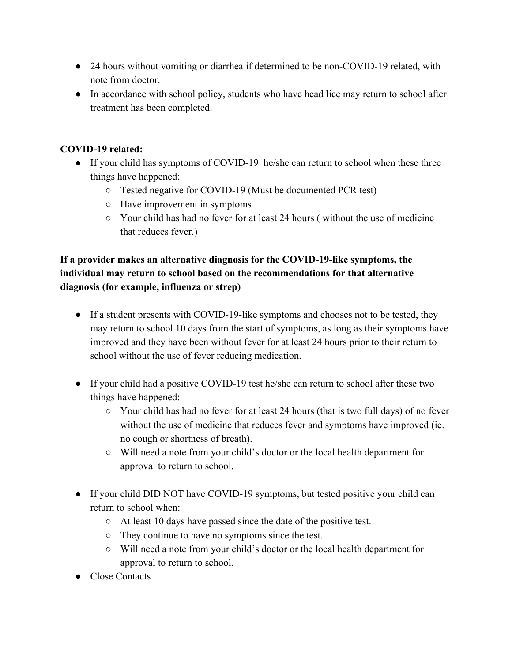- 24 hours without vomiting or diarrhea if determined to be non-COVID-19 related, with note from doctor.
- In accordance with school policy, students who have head lice may return to school after treatment has been completed.

## **COVID-19 related:**

- If your child has symptoms of COVID-19 he/she can return to school when these three things have happened:
	- Tested negative for COVID-19 (Must be documented PCR test)
	- Have improvement in symptoms
	- $\circ$  Your child has had no fever for at least 24 hours (without the use of medicine that reduces fever.)

## **If a provider makes an alternative diagnosis for the COVID-19-like symptoms, the individual may return to school based on the recommendations for that alternative diagnosis (for example, influenza or strep)**

- If a student presents with COVID-19-like symptoms and chooses not to be tested, they may return to school 10 days from the start of symptoms, as long as their symptoms have improved and they have been without fever for at least 24 hours prior to their return to school without the use of fever reducing medication.
- If your child had a positive COVID-19 test he/she can return to school after these two things have happened:
	- $\circ$  Your child has had no fever for at least 24 hours (that is two full days) of no fever without the use of medicine that reduces fever and symptoms have improved (ie. no cough or shortness of breath).
	- Will need a note from your child's doctor or the local health department for approval to return to school.
- If your child DID NOT have COVID-19 symptoms, but tested positive your child can return to school when:
	- At least 10 days have passed since the date of the positive test.
	- They continue to have no symptoms since the test.
	- Will need a note from your child's doctor or the local health department for approval to return to school.
- Close Contacts